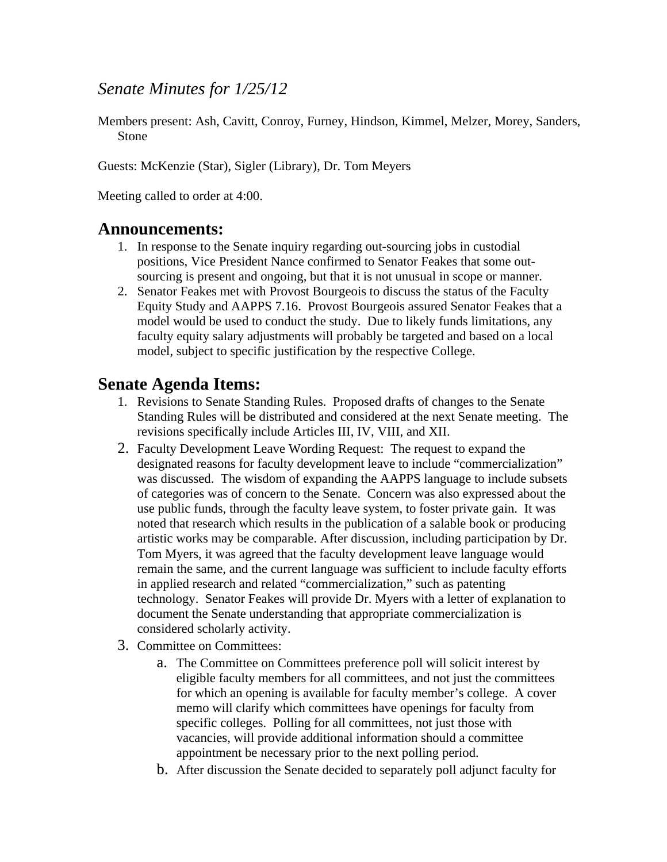# *Senate Minutes for 1/25/12*

Members present: Ash, Cavitt, Conroy, Furney, Hindson, Kimmel, Melzer, Morey, Sanders, Stone

Guests: McKenzie (Star), Sigler (Library), Dr. Tom Meyers

Meeting called to order at 4:00.

#### **Announcements:**

- 1. In response to the Senate inquiry regarding out-sourcing jobs in custodial positions, Vice President Nance confirmed to Senator Feakes that some outsourcing is present and ongoing, but that it is not unusual in scope or manner.
- 2. Senator Feakes met with Provost Bourgeois to discuss the status of the Faculty Equity Study and AAPPS 7.16. Provost Bourgeois assured Senator Feakes that a model would be used to conduct the study. Due to likely funds limitations, any faculty equity salary adjustments will probably be targeted and based on a local model, subject to specific justification by the respective College.

## **Senate Agenda Items:**

- 1. Revisions to Senate Standing Rules. Proposed drafts of changes to the Senate Standing Rules will be distributed and considered at the next Senate meeting. The revisions specifically include Articles III, IV, VIII, and XII.
- 2. Faculty Development Leave Wording Request: The request to expand the designated reasons for faculty development leave to include "commercialization" was discussed. The wisdom of expanding the AAPPS language to include subsets of categories was of concern to the Senate. Concern was also expressed about the use public funds, through the faculty leave system, to foster private gain. It was noted that research which results in the publication of a salable book or producing artistic works may be comparable. After discussion, including participation by Dr. Tom Myers, it was agreed that the faculty development leave language would remain the same, and the current language was sufficient to include faculty efforts in applied research and related "commercialization," such as patenting technology. Senator Feakes will provide Dr. Myers with a letter of explanation to document the Senate understanding that appropriate commercialization is considered scholarly activity.
- 3. Committee on Committees:
	- a. The Committee on Committees preference poll will solicit interest by eligible faculty members for all committees, and not just the committees for which an opening is available for faculty member's college. A cover memo will clarify which committees have openings for faculty from specific colleges. Polling for all committees, not just those with vacancies, will provide additional information should a committee appointment be necessary prior to the next polling period.
	- b. After discussion the Senate decided to separately poll adjunct faculty for